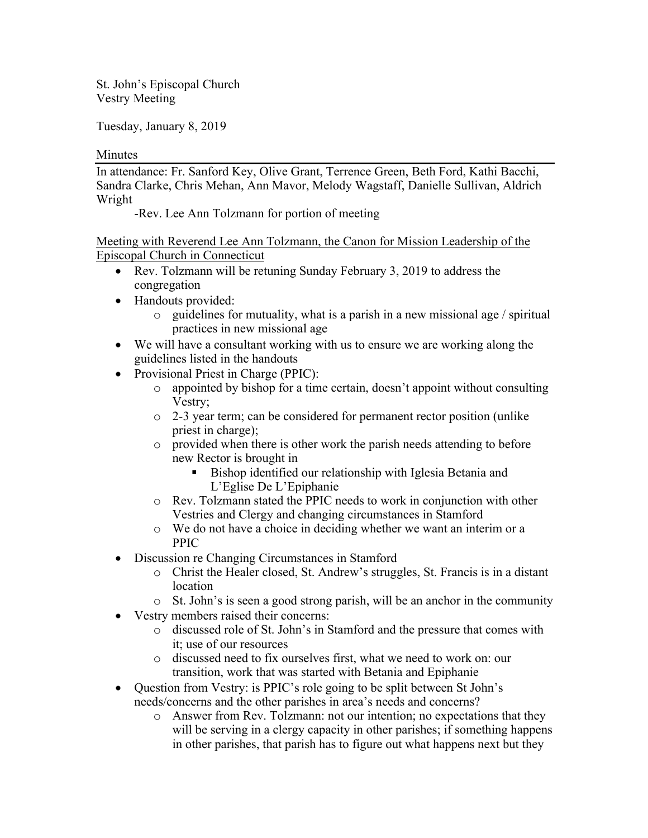St. John's Episcopal Church Vestry Meeting

Tuesday, January 8, 2019

#### **Minutes**

In attendance: Fr. Sanford Key, Olive Grant, Terrence Green, Beth Ford, Kathi Bacchi, Sandra Clarke, Chris Mehan, Ann Mavor, Melody Wagstaff, Danielle Sullivan, Aldrich Wright

-Rev. Lee Ann Tolzmann for portion of meeting

Meeting with Reverend Lee Ann Tolzmann, the Canon for Mission Leadership of the Episcopal Church in Connecticut

- Rev. Tolzmann will be retuning Sunday February 3, 2019 to address the congregation
- Handouts provided:
	- $\circ$  guidelines for mutuality, what is a parish in a new missional age / spiritual practices in new missional age
- We will have a consultant working with us to ensure we are working along the guidelines listed in the handouts
- Provisional Priest in Charge (PPIC):
	- appointed by bishop for a time certain, doesn't appoint without consulting Vestry;
	- o 2-3 year term; can be considered for permanent rector position (unlike priest in charge);
	- o provided when there is other work the parish needs attending to before new Rector is brought in
		- Bishop identified our relationship with Iglesia Betania and L'Eglise De L'Epiphanie
	- o Rev. Tolzmann stated the PPIC needs to work in conjunction with other Vestries and Clergy and changing circumstances in Stamford
	- o We do not have a choice in deciding whether we want an interim or a PPIC
- Discussion re Changing Circumstances in Stamford
	- o Christ the Healer closed, St. Andrew's struggles, St. Francis is in a distant location
	- $\circ$  St. John's is seen a good strong parish, will be an anchor in the community
- Vestry members raised their concerns:
	- o discussed role of St. John's in Stamford and the pressure that comes with it; use of our resources
	- o discussed need to fix ourselves first, what we need to work on: our transition, work that was started with Betania and Epiphanie
- Question from Vestry: is PPIC's role going to be split between St John's needs/concerns and the other parishes in area's needs and concerns?
	- o Answer from Rev. Tolzmann: not our intention; no expectations that they will be serving in a clergy capacity in other parishes; if something happens in other parishes, that parish has to figure out what happens next but they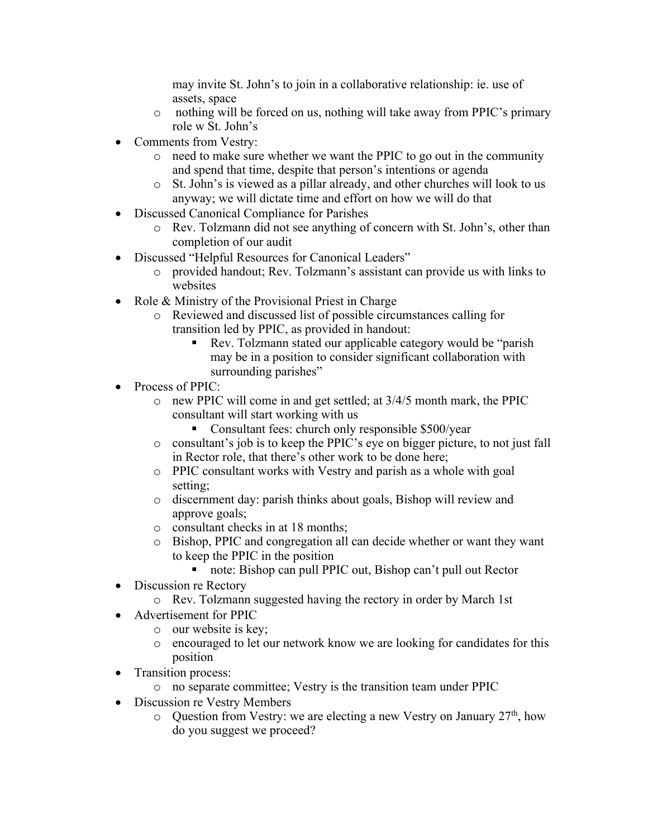may invite St. John's to join in a collaborative relationship: ie. use of assets, space

- o nothing will be forced on us, nothing will take away from PPIC's primary role w St. John's
- Comments from Vestry:
	- o need to make sure whether we want the PPIC to go out in the community and spend that time, despite that person's intentions or agenda
	- o St. John's is viewed as a pillar already, and other churches will look to us anyway; we will dictate time and effort on how we will do that
- Discussed Canonical Compliance for Parishes
	- o Rev. Tolzmann did not see anything of concern with St. John's, other than completion of our audit
- Discussed "Helpful Resources for Canonical Leaders"
	- o provided handout; Rev. Tolzmann's assistant can provide us with links to websites
- Role & Ministry of the Provisional Priest in Charge
	- o Reviewed and discussed list of possible circumstances calling for transition led by PPIC, as provided in handout:
		- Rev. Tolzmann stated our applicable category would be "parish" may be in a position to consider significant collaboration with surrounding parishes"
- Process of PPIC:
	- o new PPIC will come in and get settled; at 3/4/5 month mark, the PPIC consultant will start working with us
		- Consultant fees: church only responsible \$500/year
	- o consultant's job is to keep the PPIC's eye on bigger picture, to not just fall in Rector role, that there's other work to be done here;
	- o PPIC consultant works with Vestry and parish as a whole with goal setting;
	- o discernment day: parish thinks about goals, Bishop will review and approve goals;
	- o consultant checks in at 18 months;
	- o Bishop, PPIC and congregation all can decide whether or want they want to keep the PPIC in the position
		- note: Bishop can pull PPIC out, Bishop can't pull out Rector
- Discussion re Rectory
	- o Rev. Tolzmann suggested having the rectory in order by March 1st
- Advertisement for PPIC
	- o our website is key;
	- o encouraged to let our network know we are looking for candidates for this position
- Transition process:
	- o no separate committee; Vestry is the transition team under PPIC
- Discussion re Vestry Members
	- $\circ$  Question from Vestry: we are electing a new Vestry on January 27<sup>th</sup>, how do you suggest we proceed?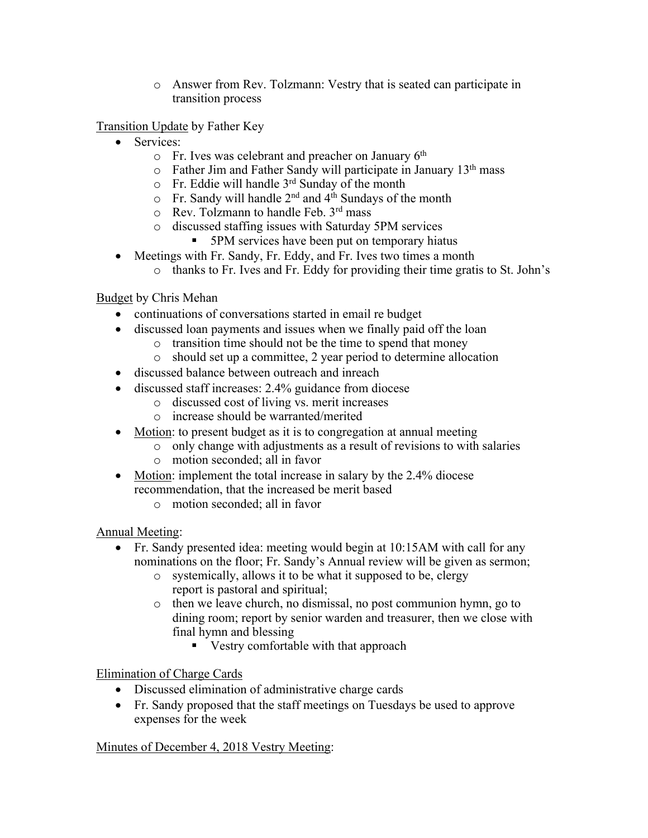o Answer from Rev. Tolzmann: Vestry that is seated can participate in transition process

Transition Update by Father Key

- Services:
	- $\circ$  Fr. Ives was celebrant and preacher on January 6<sup>th</sup>
	- $\circ$  Father Jim and Father Sandy will participate in January 13<sup>th</sup> mass
	- $\circ$  Fr. Eddie will handle 3<sup>rd</sup> Sunday of the month
	- $\circ$  Fr. Sandy will handle 2<sup>nd</sup> and 4<sup>th</sup> Sundays of the month
	- o Rev. Tolzmann to handle Feb. 3rd mass
	- o discussed staffing issues with Saturday 5PM services
		- § 5PM services have been put on temporary hiatus
- Meetings with Fr. Sandy, Fr. Eddy, and Fr. Ives two times a month
	- o thanks to Fr. Ives and Fr. Eddy for providing their time gratis to St. John's

## Budget by Chris Mehan

- continuations of conversations started in email re budget
- discussed loan payments and issues when we finally paid off the loan
	- o transition time should not be the time to spend that money
		- o should set up a committee, 2 year period to determine allocation
- discussed balance between outreach and inreach
- discussed staff increases: 2.4% guidance from diocese
	- o discussed cost of living vs. merit increases
	- o increase should be warranted/merited
- Motion: to present budget as it is to congregation at annual meeting
	- o only change with adjustments as a result of revisions to with salaries o motion seconded; all in favor
- Motion: implement the total increase in salary by the 2.4% diocese recommendation, that the increased be merit based
	- o motion seconded; all in favor

Annual Meeting:

- Fr. Sandy presented idea: meeting would begin at 10:15AM with call for any nominations on the floor; Fr. Sandy's Annual review will be given as sermon;
	- o systemically, allows it to be what it supposed to be, clergy report is pastoral and spiritual;
	- o then we leave church, no dismissal, no post communion hymn, go to dining room; report by senior warden and treasurer, then we close with final hymn and blessing
		- Vestry comfortable with that approach

# Elimination of Charge Cards

- Discussed elimination of administrative charge cards
- Fr. Sandy proposed that the staff meetings on Tuesdays be used to approve expenses for the week

#### Minutes of December 4, 2018 Vestry Meeting: